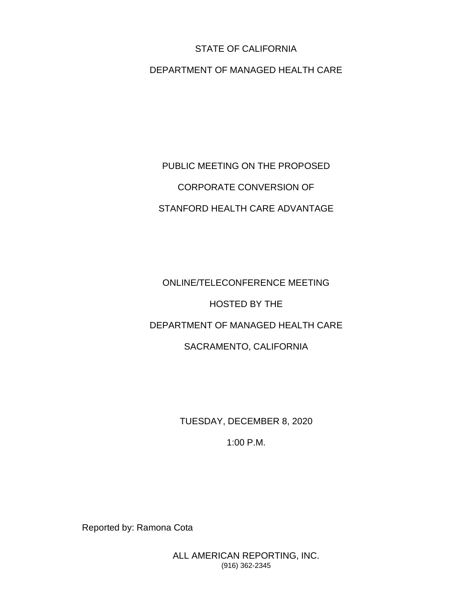#### STATE OF CALIFORNIA

#### DEPARTMENT OF MANAGED HEALTH CARE

## PUBLIC MEETING ON THE PROPOSED CORPORATE CONVERSION OF STANFORD HEALTH CARE ADVANTAGE

# ONLINE/TELECONFERENCE MEETING HOSTED BY THE DEPARTMENT OF MANAGED HEALTH CARE SACRAMENTO, CALIFORNIA

TUESDAY, DECEMBER 8, 2020

1:00 P.M.

Reported by: Ramona Cota

ALL AMERICAN REPORTING, INC. (916) 362-2345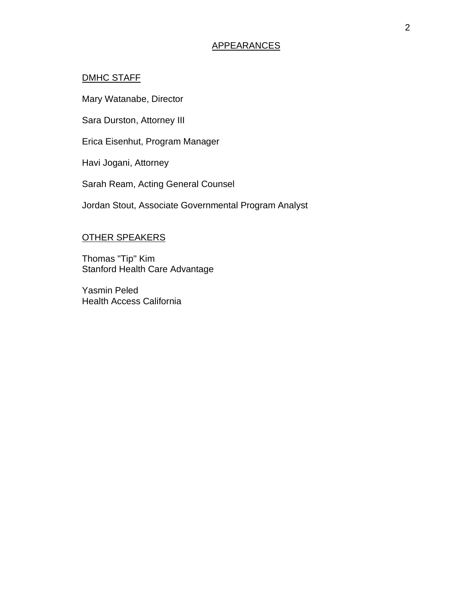#### APPEARANCES

#### DMHC STAFF

Mary Watanabe, Director

Sara Durston, Attorney III

Erica Eisenhut, Program Manager

Havi Jogani, Attorney

Sarah Ream, Acting General Counsel

Jordan Stout, Associate Governmental Program Analyst

#### OTHER SPEAKERS

Thomas "Tip" Kim Stanford Health Care Advantage

Yasmin Peled Health Access California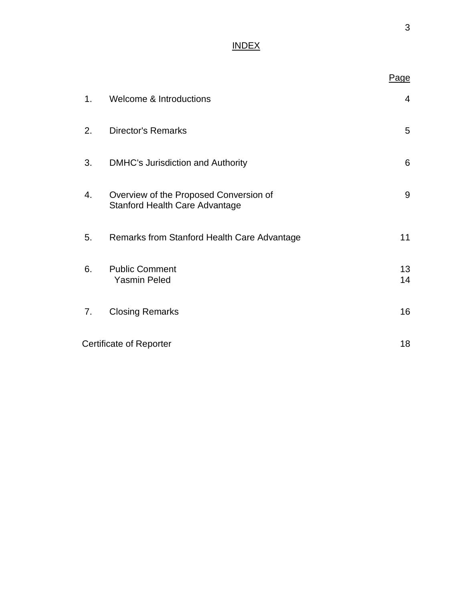### INDEX

|    |                                                                                 | Page           |
|----|---------------------------------------------------------------------------------|----------------|
| 1. | <b>Welcome &amp; Introductions</b>                                              | $\overline{4}$ |
| 2. | <b>Director's Remarks</b>                                                       | 5              |
| 3. | <b>DMHC's Jurisdiction and Authority</b>                                        | 6              |
| 4. | Overview of the Proposed Conversion of<br><b>Stanford Health Care Advantage</b> | 9              |
| 5. | Remarks from Stanford Health Care Advantage                                     | 11             |
| 6. | <b>Public Comment</b><br><b>Yasmin Peled</b>                                    | 13<br>14       |
| 7. | <b>Closing Remarks</b>                                                          | 16             |
|    | <b>Certificate of Reporter</b>                                                  | 18             |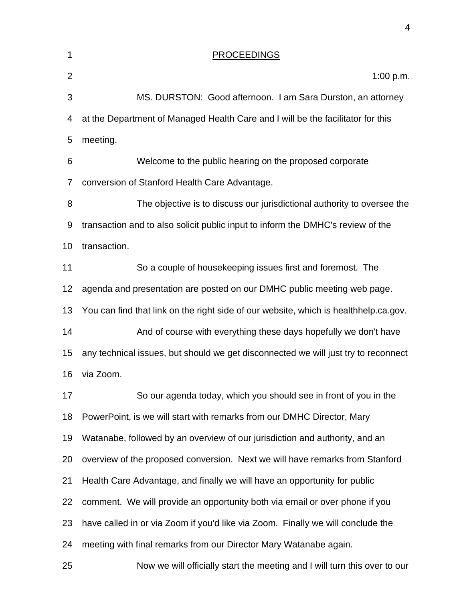| 1              | <b>PROCEEDINGS</b>                                                                   |
|----------------|--------------------------------------------------------------------------------------|
| $\overline{2}$ | 1:00 p.m.                                                                            |
| 3              | MS. DURSTON: Good afternoon. I am Sara Durston, an attorney                          |
| 4              | at the Department of Managed Health Care and I will be the facilitator for this      |
| 5              | meeting.                                                                             |
| 6              | Welcome to the public hearing on the proposed corporate                              |
| 7              | conversion of Stanford Health Care Advantage.                                        |
| 8              | The objective is to discuss our jurisdictional authority to oversee the              |
| 9              | transaction and to also solicit public input to inform the DMHC's review of the      |
| 10             | transaction.                                                                         |
| 11             | So a couple of housekeeping issues first and foremost. The                           |
| 12             | agenda and presentation are posted on our DMHC public meeting web page.              |
| 13             | You can find that link on the right side of our website, which is healthhelp.ca.gov. |
| 14             | And of course with everything these days hopefully we don't have                     |
| 15             | any technical issues, but should we get disconnected we will just try to reconnect   |
| 16             | via Zoom.                                                                            |
| 17             | So our agenda today, which you should see in front of you in the                     |
| 18             | PowerPoint, is we will start with remarks from our DMHC Director, Mary               |
| 19             | Watanabe, followed by an overview of our jurisdiction and authority, and an          |
| 20             | overview of the proposed conversion. Next we will have remarks from Stanford         |
| 21             | Health Care Advantage, and finally we will have an opportunity for public            |
| 22             | comment. We will provide an opportunity both via email or over phone if you          |
| 23             | have called in or via Zoom if you'd like via Zoom. Finally we will conclude the      |
| 24             | meeting with final remarks from our Director Mary Watanabe again.                    |
| 25             | Now we will officially start the meeting and I will turn this over to our            |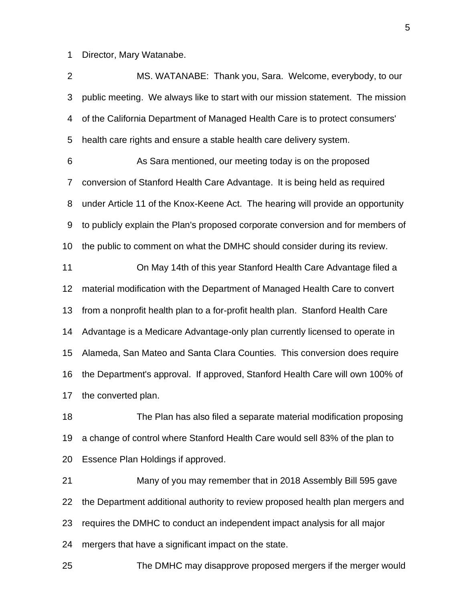Director, Mary Watanabe.

 MS. WATANABE: Thank you, Sara. Welcome, everybody, to our public meeting. We always like to start with our mission statement. The mission of the California Department of Managed Health Care is to protect consumers' health care rights and ensure a stable health care delivery system.

 As Sara mentioned, our meeting today is on the proposed conversion of Stanford Health Care Advantage. It is being held as required under Article 11 of the Knox-Keene Act. The hearing will provide an opportunity to publicly explain the Plan's proposed corporate conversion and for members of the public to comment on what the DMHC should consider during its review.

 On May 14th of this year Stanford Health Care Advantage filed a material modification with the Department of Managed Health Care to convert from a nonprofit health plan to a for-profit health plan. Stanford Health Care Advantage is a Medicare Advantage-only plan currently licensed to operate in Alameda, San Mateo and Santa Clara Counties. This conversion does require the Department's approval. If approved, Stanford Health Care will own 100% of the converted plan.

 The Plan has also filed a separate material modification proposing a change of control where Stanford Health Care would sell 83% of the plan to Essence Plan Holdings if approved.

 Many of you may remember that in 2018 Assembly Bill 595 gave the Department additional authority to review proposed health plan mergers and requires the DMHC to conduct an independent impact analysis for all major mergers that have a significant impact on the state.

The DMHC may disapprove proposed mergers if the merger would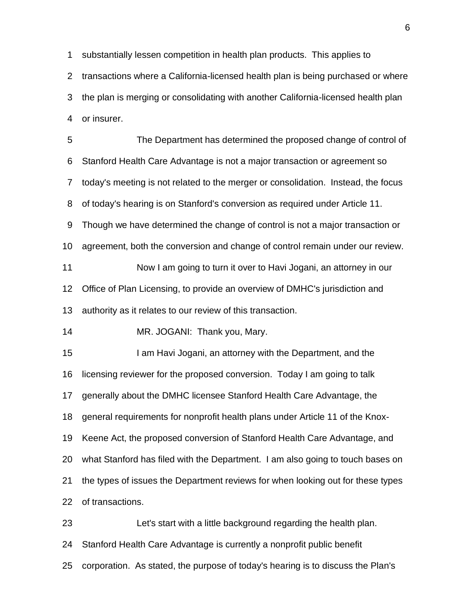substantially lessen competition in health plan products. This applies to transactions where a California-licensed health plan is being purchased or where the plan is merging or consolidating with another California-licensed health plan or insurer.

 The Department has determined the proposed change of control of Stanford Health Care Advantage is not a major transaction or agreement so today's meeting is not related to the merger or consolidation. Instead, the focus of today's hearing is on Stanford's conversion as required under Article 11. Though we have determined the change of control is not a major transaction or agreement, both the conversion and change of control remain under our review. Now I am going to turn it over to Havi Jogani, an attorney in our Office of Plan Licensing, to provide an overview of DMHC's jurisdiction and authority as it relates to our review of this transaction. MR. JOGANI: Thank you, Mary. 15 I am Havi Jogani, an attorney with the Department, and the licensing reviewer for the proposed conversion. Today I am going to talk generally about the DMHC licensee Stanford Health Care Advantage, the general requirements for nonprofit health plans under Article 11 of the Knox-Keene Act, the proposed conversion of Stanford Health Care Advantage, and

 what Stanford has filed with the Department. I am also going to touch bases on the types of issues the Department reviews for when looking out for these types

of transactions.

 Let's start with a little background regarding the health plan. Stanford Health Care Advantage is currently a nonprofit public benefit corporation. As stated, the purpose of today's hearing is to discuss the Plan's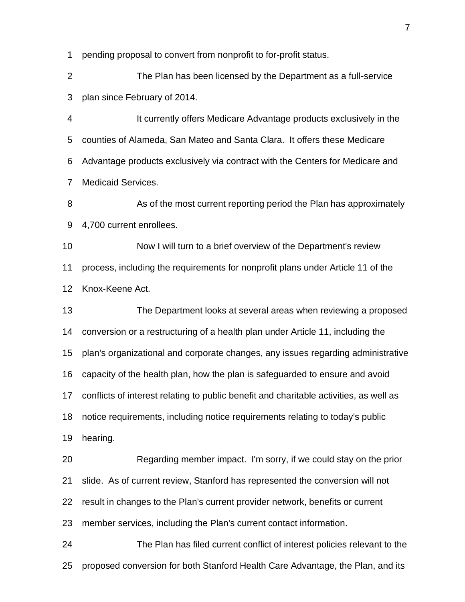pending proposal to convert from nonprofit to for-profit status.

 The Plan has been licensed by the Department as a full-service plan since February of 2014.

 It currently offers Medicare Advantage products exclusively in the counties of Alameda, San Mateo and Santa Clara. It offers these Medicare Advantage products exclusively via contract with the Centers for Medicare and Medicaid Services.

 As of the most current reporting period the Plan has approximately 4,700 current enrollees.

 Now I will turn to a brief overview of the Department's review process, including the requirements for nonprofit plans under Article 11 of the Knox-Keene Act.

 The Department looks at several areas when reviewing a proposed conversion or a restructuring of a health plan under Article 11, including the plan's organizational and corporate changes, any issues regarding administrative capacity of the health plan, how the plan is safeguarded to ensure and avoid conflicts of interest relating to public benefit and charitable activities, as well as notice requirements, including notice requirements relating to today's public hearing. Regarding member impact. I'm sorry, if we could stay on the prior slide. As of current review, Stanford has represented the conversion will not result in changes to the Plan's current provider network, benefits or current

member services, including the Plan's current contact information.

 The Plan has filed current conflict of interest policies relevant to the proposed conversion for both Stanford Health Care Advantage, the Plan, and its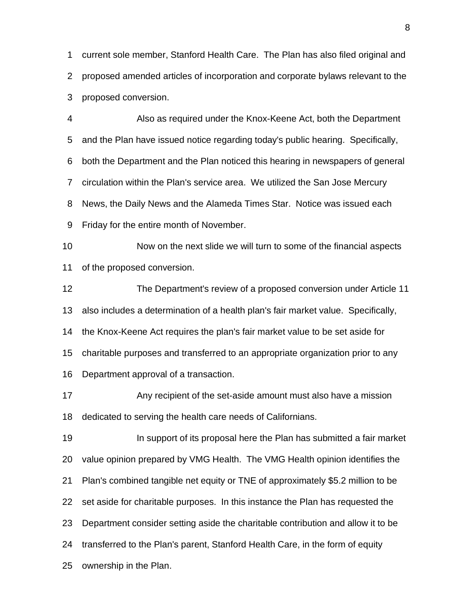current sole member, Stanford Health Care. The Plan has also filed original and proposed amended articles of incorporation and corporate bylaws relevant to the proposed conversion.

 Also as required under the Knox-Keene Act, both the Department and the Plan have issued notice regarding today's public hearing. Specifically, both the Department and the Plan noticed this hearing in newspapers of general circulation within the Plan's service area. We utilized the San Jose Mercury News, the Daily News and the Alameda Times Star. Notice was issued each Friday for the entire month of November.

 Now on the next slide we will turn to some of the financial aspects of the proposed conversion.

 The Department's review of a proposed conversion under Article 11 also includes a determination of a health plan's fair market value. Specifically, the Knox-Keene Act requires the plan's fair market value to be set aside for

charitable purposes and transferred to an appropriate organization prior to any

Department approval of a transaction.

17 Any recipient of the set-aside amount must also have a mission dedicated to serving the health care needs of Californians.

**In support of its proposal here the Plan has submitted a fair market**  value opinion prepared by VMG Health. The VMG Health opinion identifies the Plan's combined tangible net equity or TNE of approximately \$5.2 million to be set aside for charitable purposes. In this instance the Plan has requested the Department consider setting aside the charitable contribution and allow it to be transferred to the Plan's parent, Stanford Health Care, in the form of equity ownership in the Plan.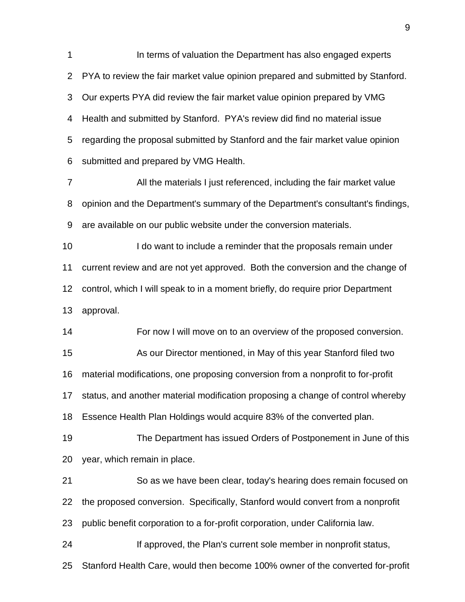**In terms of valuation the Department has also engaged experts**  PYA to review the fair market value opinion prepared and submitted by Stanford. Our experts PYA did review the fair market value opinion prepared by VMG Health and submitted by Stanford. PYA's review did find no material issue regarding the proposal submitted by Stanford and the fair market value opinion submitted and prepared by VMG Health. All the materials I just referenced, including the fair market value opinion and the Department's summary of the Department's consultant's findings, are available on our public website under the conversion materials.

 I do want to include a reminder that the proposals remain under current review and are not yet approved. Both the conversion and the change of control, which I will speak to in a moment briefly, do require prior Department approval.

 For now I will move on to an overview of the proposed conversion. As our Director mentioned, in May of this year Stanford filed two material modifications, one proposing conversion from a nonprofit to for-profit status, and another material modification proposing a change of control whereby Essence Health Plan Holdings would acquire 83% of the converted plan.

 The Department has issued Orders of Postponement in June of this year, which remain in place.

 So as we have been clear, today's hearing does remain focused on the proposed conversion. Specifically, Stanford would convert from a nonprofit public benefit corporation to a for-profit corporation, under California law. **If approved, the Plan's current sole member in nonprofit status,** Stanford Health Care, would then become 100% owner of the converted for-profit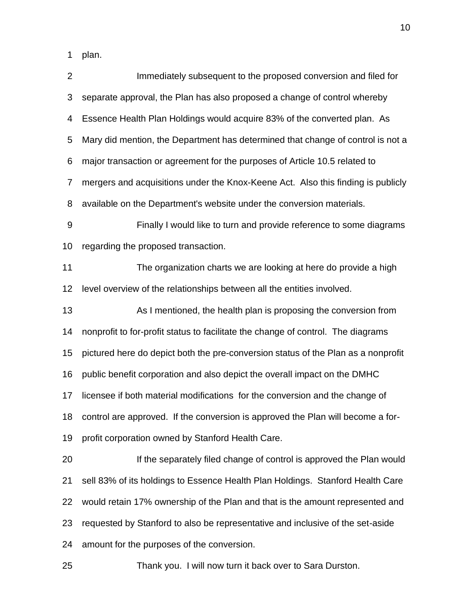plan.

| $\overline{2}$   | Immediately subsequent to the proposed conversion and filed for                   |
|------------------|-----------------------------------------------------------------------------------|
| 3                | separate approval, the Plan has also proposed a change of control whereby         |
| 4                | Essence Health Plan Holdings would acquire 83% of the converted plan. As          |
| 5                | Mary did mention, the Department has determined that change of control is not a   |
| 6                | major transaction or agreement for the purposes of Article 10.5 related to        |
| 7                | mergers and acquisitions under the Knox-Keene Act. Also this finding is publicly  |
| 8                | available on the Department's website under the conversion materials.             |
| $\boldsymbol{9}$ | Finally I would like to turn and provide reference to some diagrams               |
| 10               | regarding the proposed transaction.                                               |
| 11               | The organization charts we are looking at here do provide a high                  |
| 12               | level overview of the relationships between all the entities involved.            |
| 13               | As I mentioned, the health plan is proposing the conversion from                  |
| 14               | nonprofit to for-profit status to facilitate the change of control. The diagrams  |
| 15               | pictured here do depict both the pre-conversion status of the Plan as a nonprofit |
| 16               | public benefit corporation and also depict the overall impact on the DMHC         |
| 17               | licensee if both material modifications for the conversion and the change of      |
| 18               | control are approved. If the conversion is approved the Plan will become a for-   |
| 19               | profit corporation owned by Stanford Health Care.                                 |
| 20               | If the separately filed change of control is approved the Plan would              |
| 21               | sell 83% of its holdings to Essence Health Plan Holdings. Stanford Health Care    |
| 22               | would retain 17% ownership of the Plan and that is the amount represented and     |
| 23               | requested by Stanford to also be representative and inclusive of the set-aside    |
| 24               | amount for the purposes of the conversion.                                        |
| 25               | Thank you. I will now turn it back over to Sara Durston.                          |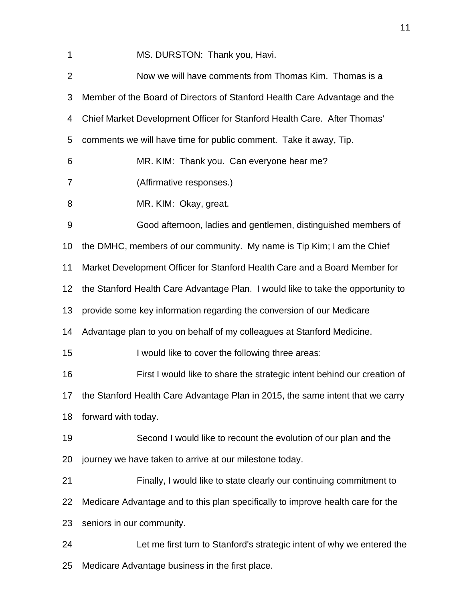1 MS. DURSTON: Thank you, Havi.

| $\overline{2}$   | Now we will have comments from Thomas Kim. Thomas is a                           |
|------------------|----------------------------------------------------------------------------------|
| 3                | Member of the Board of Directors of Stanford Health Care Advantage and the       |
| 4                | Chief Market Development Officer for Stanford Health Care. After Thomas'         |
| 5                | comments we will have time for public comment. Take it away, Tip.                |
| 6                | MR. KIM: Thank you. Can everyone hear me?                                        |
| $\overline{7}$   | (Affirmative responses.)                                                         |
| 8                | MR. KIM: Okay, great.                                                            |
| $\boldsymbol{9}$ | Good afternoon, ladies and gentlemen, distinguished members of                   |
| 10               | the DMHC, members of our community. My name is Tip Kim; I am the Chief           |
| 11               | Market Development Officer for Stanford Health Care and a Board Member for       |
| 12               | the Stanford Health Care Advantage Plan. I would like to take the opportunity to |
| 13               | provide some key information regarding the conversion of our Medicare            |
| 14               | Advantage plan to you on behalf of my colleagues at Stanford Medicine.           |
| 15               | I would like to cover the following three areas:                                 |
| 16               | First I would like to share the strategic intent behind our creation of          |
| 17               | the Stanford Health Care Advantage Plan in 2015, the same intent that we carry   |
| 18               | forward with today.                                                              |
| 19               | Second I would like to recount the evolution of our plan and the                 |
| 20               | journey we have taken to arrive at our milestone today.                          |
| 21               | Finally, I would like to state clearly our continuing commitment to              |
| 22               | Medicare Advantage and to this plan specifically to improve health care for the  |
| 23               | seniors in our community.                                                        |
| 24               | Let me first turn to Stanford's strategic intent of why we entered the           |
| 25               | Medicare Advantage business in the first place.                                  |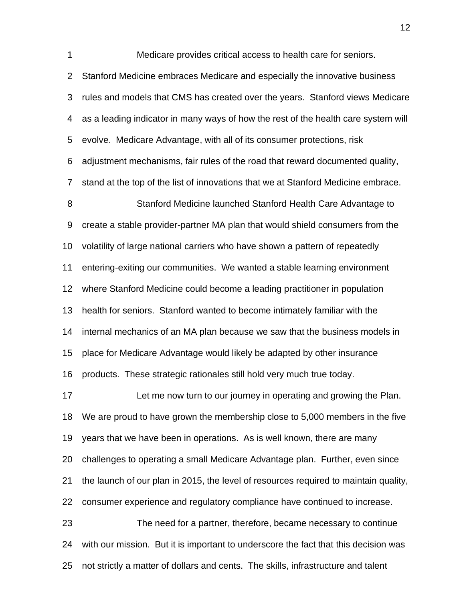Medicare provides critical access to health care for seniors. Stanford Medicine embraces Medicare and especially the innovative business rules and models that CMS has created over the years. Stanford views Medicare as a leading indicator in many ways of how the rest of the health care system will evolve. Medicare Advantage, with all of its consumer protections, risk adjustment mechanisms, fair rules of the road that reward documented quality, stand at the top of the list of innovations that we at Stanford Medicine embrace. Stanford Medicine launched Stanford Health Care Advantage to create a stable provider-partner MA plan that would shield consumers from the volatility of large national carriers who have shown a pattern of repeatedly entering-exiting our communities. We wanted a stable learning environment where Stanford Medicine could become a leading practitioner in population health for seniors. Stanford wanted to become intimately familiar with the internal mechanics of an MA plan because we saw that the business models in place for Medicare Advantage would likely be adapted by other insurance products. These strategic rationales still hold very much true today. Let me now turn to our journey in operating and growing the Plan. We are proud to have grown the membership close to 5,000 members in the five years that we have been in operations. As is well known, there are many challenges to operating a small Medicare Advantage plan. Further, even since the launch of our plan in 2015, the level of resources required to maintain quality, consumer experience and regulatory compliance have continued to increase. The need for a partner, therefore, became necessary to continue with our mission. But it is important to underscore the fact that this decision was not strictly a matter of dollars and cents. The skills, infrastructure and talent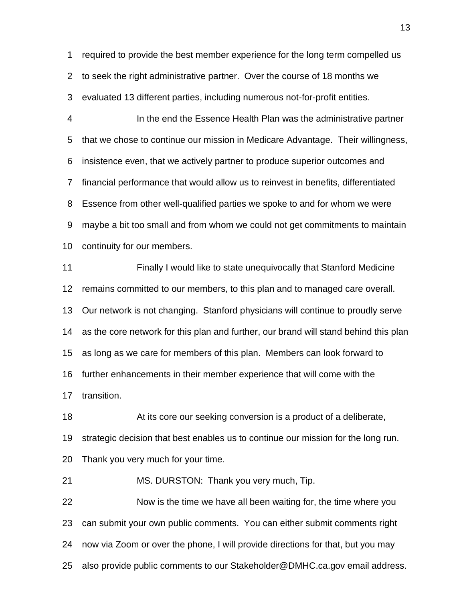required to provide the best member experience for the long term compelled us to seek the right administrative partner. Over the course of 18 months we evaluated 13 different parties, including numerous not-for-profit entities.

 In the end the Essence Health Plan was the administrative partner that we chose to continue our mission in Medicare Advantage. Their willingness, insistence even, that we actively partner to produce superior outcomes and financial performance that would allow us to reinvest in benefits, differentiated Essence from other well-qualified parties we spoke to and for whom we were maybe a bit too small and from whom we could not get commitments to maintain continuity for our members.

 Finally I would like to state unequivocally that Stanford Medicine remains committed to our members, to this plan and to managed care overall. Our network is not changing. Stanford physicians will continue to proudly serve as the core network for this plan and further, our brand will stand behind this plan as long as we care for members of this plan. Members can look forward to further enhancements in their member experience that will come with the transition.

 At its core our seeking conversion is a product of a deliberate, strategic decision that best enables us to continue our mission for the long run. Thank you very much for your time.

MS. DURSTON: Thank you very much, Tip.

 Now is the time we have all been waiting for, the time where you can submit your own public comments. You can either submit comments right now via Zoom or over the phone, I will provide directions for that, but you may also provide public comments to our Stakeholder@DMHC.ca.gov email address.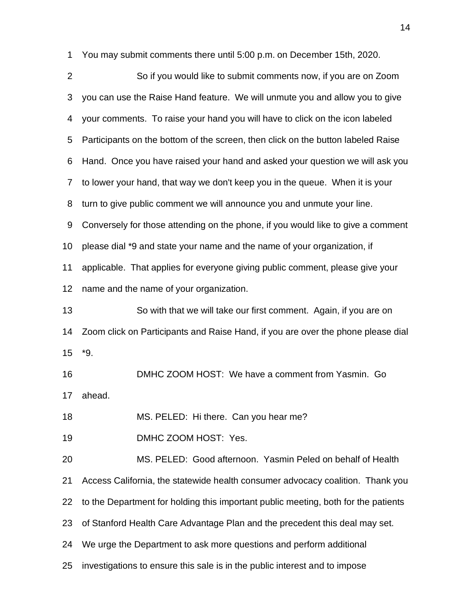You may submit comments there until 5:00 p.m. on December 15th, 2020.

| $\overline{2}$ | So if you would like to submit comments now, if you are on Zoom                    |
|----------------|------------------------------------------------------------------------------------|
| 3              | you can use the Raise Hand feature. We will unmute you and allow you to give       |
| 4              | your comments. To raise your hand you will have to click on the icon labeled       |
| 5              | Participants on the bottom of the screen, then click on the button labeled Raise   |
| 6              | Hand. Once you have raised your hand and asked your question we will ask you       |
| 7              | to lower your hand, that way we don't keep you in the queue. When it is your       |
| 8              | turn to give public comment we will announce you and unmute your line.             |
| 9              | Conversely for those attending on the phone, if you would like to give a comment   |
| 10             | please dial *9 and state your name and the name of your organization, if           |
| 11             | applicable. That applies for everyone giving public comment, please give your      |
| 12             | name and the name of your organization.                                            |
| 13             | So with that we will take our first comment. Again, if you are on                  |
| 14             | Zoom click on Participants and Raise Hand, if you are over the phone please dial   |
| 15             | *9.                                                                                |
| 16             | DMHC ZOOM HOST: We have a comment from Yasmin. Go                                  |
| 17             | ahead.                                                                             |
| 18             | MS. PELED: Hi there. Can you hear me?                                              |
| 19             | DMHC ZOOM HOST: Yes.                                                               |
| 20             | MS. PELED: Good afternoon. Yasmin Peled on behalf of Health                        |
| 21             | Access California, the statewide health consumer advocacy coalition. Thank you     |
| 22             | to the Department for holding this important public meeting, both for the patients |
| 23             | of Stanford Health Care Advantage Plan and the precedent this deal may set.        |
| 24             | We urge the Department to ask more questions and perform additional                |
| 25             | investigations to ensure this sale is in the public interest and to impose         |
|                |                                                                                    |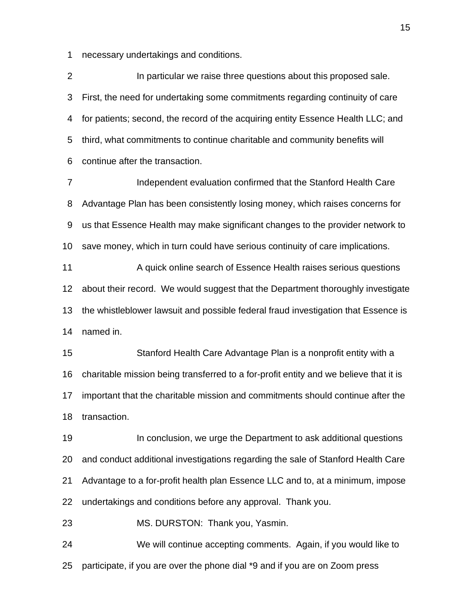necessary undertakings and conditions.

**In particular we raise three questions about this proposed sale.**  First, the need for undertaking some commitments regarding continuity of care for patients; second, the record of the acquiring entity Essence Health LLC; and third, what commitments to continue charitable and community benefits will continue after the transaction.

 Independent evaluation confirmed that the Stanford Health Care Advantage Plan has been consistently losing money, which raises concerns for us that Essence Health may make significant changes to the provider network to save money, which in turn could have serious continuity of care implications.

 A quick online search of Essence Health raises serious questions about their record. We would suggest that the Department thoroughly investigate the whistleblower lawsuit and possible federal fraud investigation that Essence is named in.

 Stanford Health Care Advantage Plan is a nonprofit entity with a charitable mission being transferred to a for-profit entity and we believe that it is important that the charitable mission and commitments should continue after the transaction.

**In conclusion, we urge the Department to ask additional questions**  and conduct additional investigations regarding the sale of Stanford Health Care Advantage to a for-profit health plan Essence LLC and to, at a minimum, impose undertakings and conditions before any approval. Thank you.

MS. DURSTON: Thank you, Yasmin.

 We will continue accepting comments. Again, if you would like to participate, if you are over the phone dial \*9 and if you are on Zoom press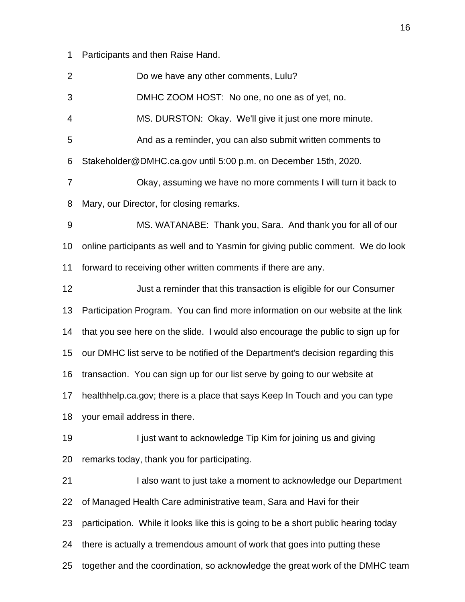Participants and then Raise Hand.

Do we have any other comments, Lulu?

DMHC ZOOM HOST: No one, no one as of yet, no.

MS. DURSTON: Okay. We'll give it just one more minute.

And as a reminder, you can also submit written comments to

Stakeholder@DMHC.ca.gov until 5:00 p.m. on December 15th, 2020.

 Okay, assuming we have no more comments I will turn it back to Mary, our Director, for closing remarks.

 MS. WATANABE: Thank you, Sara. And thank you for all of our online participants as well and to Yasmin for giving public comment. We do look forward to receiving other written comments if there are any.

Just a reminder that this transaction is eligible for our Consumer

Participation Program. You can find more information on our website at the link

that you see here on the slide. I would also encourage the public to sign up for

our DMHC list serve to be notified of the Department's decision regarding this

transaction. You can sign up for our list serve by going to our website at

healthhelp.ca.gov; there is a place that says Keep In Touch and you can type

your email address in there.

19 I just want to acknowledge Tip Kim for joining us and giving remarks today, thank you for participating.

 I also want to just take a moment to acknowledge our Department of Managed Health Care administrative team, Sara and Havi for their participation. While it looks like this is going to be a short public hearing today there is actually a tremendous amount of work that goes into putting these together and the coordination, so acknowledge the great work of the DMHC team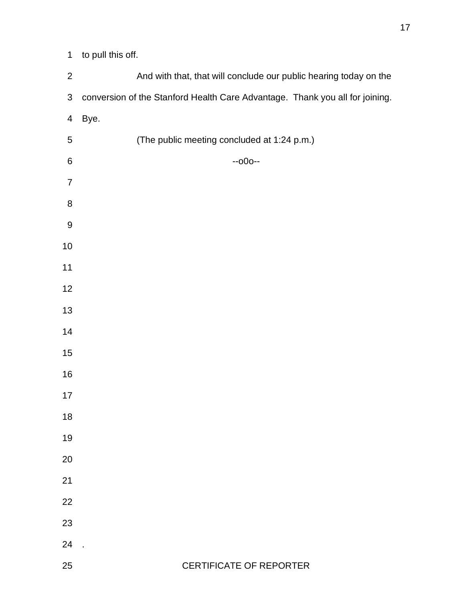| $\mathbf{2}$     | And with that, that will conclude our public hearing today on the            |
|------------------|------------------------------------------------------------------------------|
| $\sqrt{3}$       | conversion of the Stanford Health Care Advantage. Thank you all for joining. |
| $\overline{4}$   | Bye.                                                                         |
| 5                | (The public meeting concluded at 1:24 p.m.)                                  |
| $\,6$            | $-000-$                                                                      |
| $\overline{7}$   |                                                                              |
| 8                |                                                                              |
| $\boldsymbol{9}$ |                                                                              |
| $10$             |                                                                              |
| $11$             |                                                                              |
| 12               |                                                                              |
| 13               |                                                                              |
| 14               |                                                                              |
| 15               |                                                                              |
| 16               |                                                                              |
| 17               |                                                                              |
| 18               |                                                                              |
| 19               |                                                                              |
| 20               |                                                                              |
| 21               |                                                                              |
| 22               |                                                                              |
| 23               |                                                                              |
| 24               |                                                                              |
| 25               | <b>CERTIFICATE OF REPORTER</b>                                               |